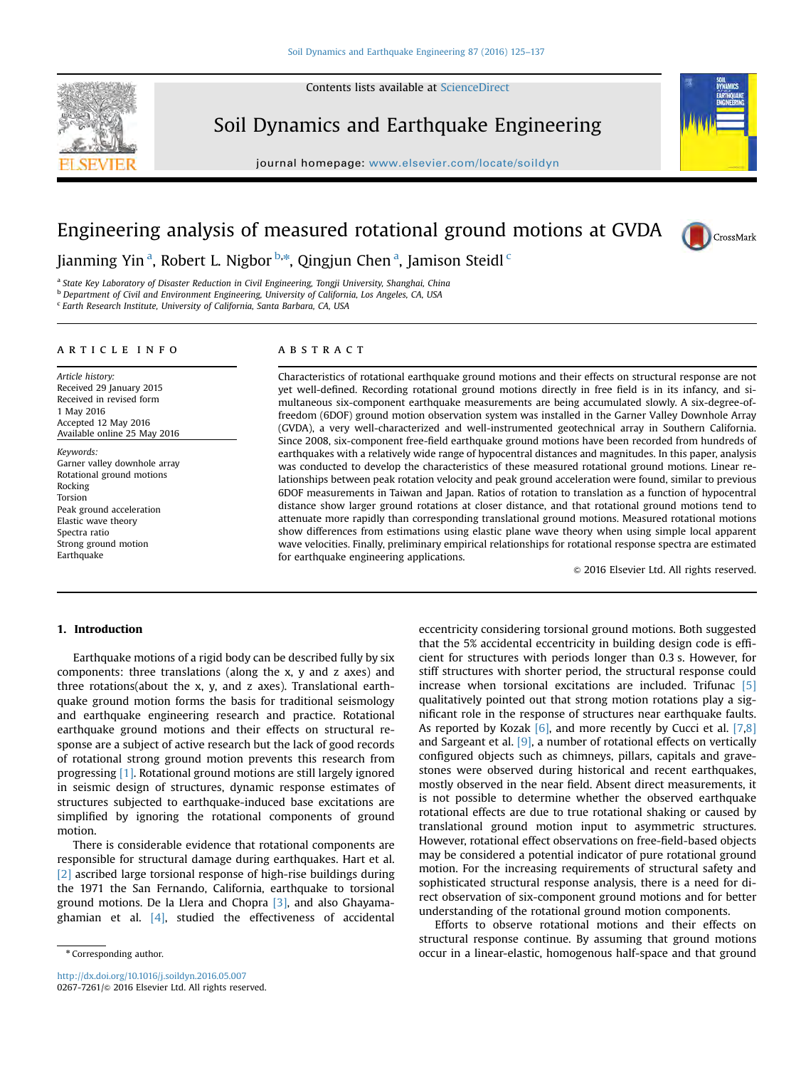Contents lists available at [ScienceDirect](www.sciencedirect.com/science/journal/02677261)

# Soil Dynamics and Earthquake Engineering

journal homepage: <www.elsevier.com/locate/soildyn>



# Engineering analysis of measured rotational ground motions at GVDA



Jianming Yin<sup>a</sup>, Robert L. Nigbor<sup>b,\*</sup>, Qingjun Chen<sup>a</sup>, Jamison Steidl<sup>c</sup>

<sup>a</sup> State Key Laboratory of Disaster Reduction in Civil Engineering, Tongji University, Shanghai, China

b Department of Civil and Environment Engineering, University of California, Los Angeles, CA, USA

<sup>c</sup> Earth Research Institute, University of California, Santa Barbara, CA, USA

### article info

Article history: Received 29 January 2015 Received in revised form 1 May 2016 Accepted 12 May 2016 Available online 25 May 2016

Keywords: Garner valley downhole array Rotational ground motions Rocking Torsion Peak ground acceleration Elastic wave theory Spectra ratio Strong ground motion Earthquake

## ABSTRACT

Characteristics of rotational earthquake ground motions and their effects on structural response are not yet well-defined. Recording rotational ground motions directly in free field is in its infancy, and simultaneous six-component earthquake measurements are being accumulated slowly. A six-degree-offreedom (6DOF) ground motion observation system was installed in the Garner Valley Downhole Array (GVDA), a very well-characterized and well-instrumented geotechnical array in Southern California. Since 2008, six-component free-field earthquake ground motions have been recorded from hundreds of earthquakes with a relatively wide range of hypocentral distances and magnitudes. In this paper, analysis was conducted to develop the characteristics of these measured rotational ground motions. Linear relationships between peak rotation velocity and peak ground acceleration were found, similar to previous 6DOF measurements in Taiwan and Japan. Ratios of rotation to translation as a function of hypocentral distance show larger ground rotations at closer distance, and that rotational ground motions tend to attenuate more rapidly than corresponding translational ground motions. Measured rotational motions show differences from estimations using elastic plane wave theory when using simple local apparent wave velocities. Finally, preliminary empirical relationships for rotational response spectra are estimated for earthquake engineering applications.

 $\odot$  2016 Elsevier Ltd. All rights reserved.

#### 1. Introduction

Earthquake motions of a rigid body can be described fully by six components: three translations (along the x, y and z axes) and three rotations(about the x, y, and z axes). Translational earthquake ground motion forms the basis for traditional seismology and earthquake engineering research and practice. Rotational earthquake ground motions and their effects on structural response are a subject of active research but the lack of good records of rotational strong ground motion prevents this research from progressing [\[1\]](#page-12-0). Rotational ground motions are still largely ignored in seismic design of structures, dynamic response estimates of structures subjected to earthquake-induced base excitations are simplified by ignoring the rotational components of ground motion.

There is considerable evidence that rotational components are responsible for structural damage during earthquakes. Hart et al. [\[2\]](#page-12-0) ascribed large torsional response of high-rise buildings during the 1971 the San Fernando, California, earthquake to torsional ground motions. De la Llera and Chopra [\[3\],](#page-12-0) and also Ghayamaghamian et al. [\[4\],](#page-12-0) studied the effectiveness of accidental

<http://dx.doi.org/10.1016/j.soildyn.2016.05.007> 0267-7261/© 2016 Elsevier Ltd. All rights reserved. eccentricity considering torsional ground motions. Both suggested that the 5% accidental eccentricity in building design code is efficient for structures with periods longer than 0.3 s. However, for stiff structures with shorter period, the structural response could increase when torsional excitations are included. Trifunac [\[5\]](#page-12-0) qualitatively pointed out that strong motion rotations play a significant role in the response of structures near earthquake faults. As reported by Kozak  $[6]$ , and more recently by Cucci et al.  $[7,8]$ and Sargeant et al.  $[9]$ , a number of rotational effects on vertically configured objects such as chimneys, pillars, capitals and gravestones were observed during historical and recent earthquakes, mostly observed in the near field. Absent direct measurements, it is not possible to determine whether the observed earthquake rotational effects are due to true rotational shaking or caused by translational ground motion input to asymmetric structures. However, rotational effect observations on free-field-based objects may be considered a potential indicator of pure rotational ground motion. For the increasing requirements of structural safety and sophisticated structural response analysis, there is a need for direct observation of six-component ground motions and for better understanding of the rotational ground motion components.

Efforts to observe rotational motions and their effects on structural response continue. By assuming that ground motions occur in a linear-elastic, homogenous half-space and that ground

<sup>\*</sup> Corresponding author.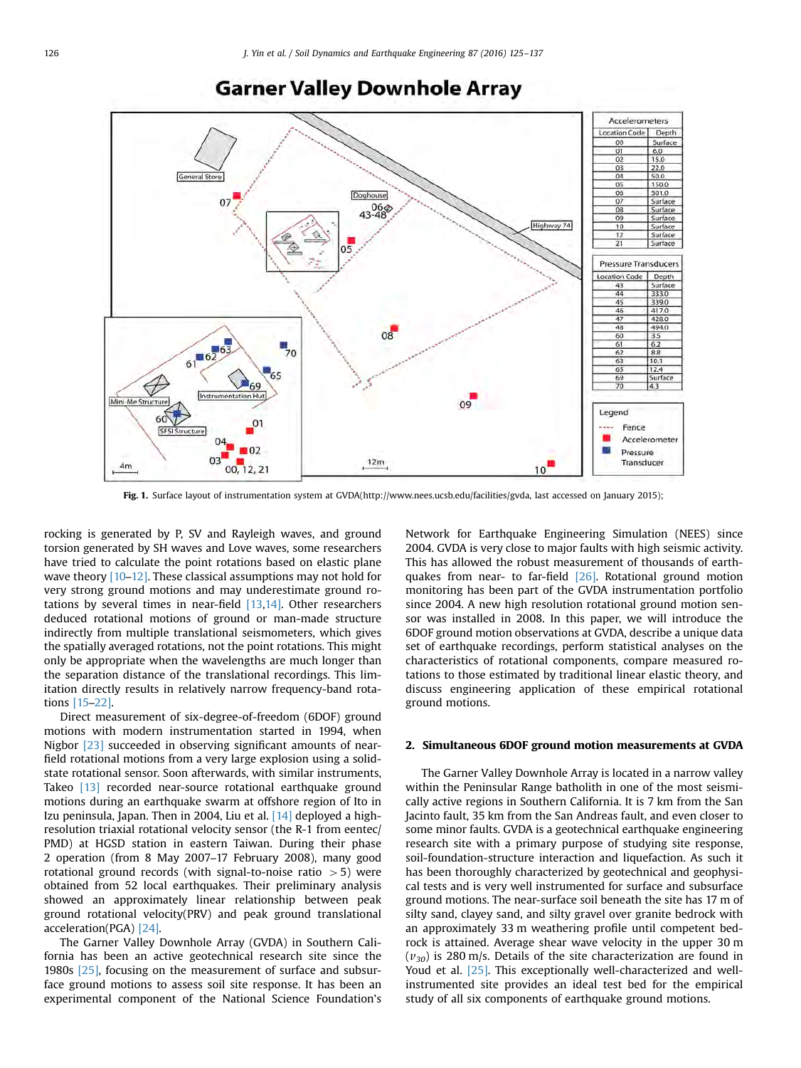<span id="page-1-0"></span>

# **Garner Valley Downhole Array**

Fig. 1. Surface layout of instrumentation system at GVDA(http://www.nees.ucsb.edu/facilities/gvda, last accessed on January 2015);

rocking is generated by P, SV and Rayleigh waves, and ground torsion generated by SH waves and Love waves, some researchers have tried to calculate the point rotations based on elastic plane wave theory  $[10-12]$  $[10-12]$ . These classical assumptions may not hold for very strong ground motions and may underestimate ground rotations by several times in near-field  $[13,14]$ . Other researchers deduced rotational motions of ground or man-made structure indirectly from multiple translational seismometers, which gives the spatially averaged rotations, not the point rotations. This might only be appropriate when the wavelengths are much longer than the separation distance of the translational recordings. This limitation directly results in relatively narrow frequency-band rotations [\[15](#page-12-0)–[22\].](#page-12-0)

Direct measurement of six-degree-of-freedom (6DOF) ground motions with modern instrumentation started in 1994, when Nigbor [\[23\]](#page-12-0) succeeded in observing significant amounts of nearfield rotational motions from a very large explosion using a solidstate rotational sensor. Soon afterwards, with similar instruments, Takeo [\[13\]](#page-12-0) recorded near-source rotational earthquake ground motions during an earthquake swarm at offshore region of Ito in Izu peninsula, Japan. Then in 2004, Liu et al. [\[14\]](#page-12-0) deployed a highresolution triaxial rotational velocity sensor (the R-1 from eentec/ PMD) at HGSD station in eastern Taiwan. During their phase 2 operation (from 8 May 2007–17 February 2008), many good rotational ground records (with signal-to-noise ratio  $>5$ ) were obtained from 52 local earthquakes. Their preliminary analysis showed an approximately linear relationship between peak ground rotational velocity(PRV) and peak ground translational acceleration(PGA) [\[24\]](#page-12-0).

The Garner Valley Downhole Array (GVDA) in Southern California has been an active geotechnical research site since the 1980s [\[25\]](#page-12-0), focusing on the measurement of surface and subsurface ground motions to assess soil site response. It has been an experimental component of the National Science Foundation's

Network for Earthquake Engineering Simulation (NEES) since 2004. GVDA is very close to major faults with high seismic activity. This has allowed the robust measurement of thousands of earthquakes from near- to far-field [\[26\]](#page-12-0). Rotational ground motion monitoring has been part of the GVDA instrumentation portfolio since 2004. A new high resolution rotational ground motion sensor was installed in 2008. In this paper, we will introduce the 6DOF ground motion observations at GVDA, describe a unique data set of earthquake recordings, perform statistical analyses on the characteristics of rotational components, compare measured rotations to those estimated by traditional linear elastic theory, and discuss engineering application of these empirical rotational ground motions.

#### 2. Simultaneous 6DOF ground motion measurements at GVDA

The Garner Valley Downhole Array is located in a narrow valley within the Peninsular Range batholith in one of the most seismically active regions in Southern California. It is 7 km from the San Jacinto fault, 35 km from the San Andreas fault, and even closer to some minor faults. GVDA is a geotechnical earthquake engineering research site with a primary purpose of studying site response, soil-foundation-structure interaction and liquefaction. As such it has been thoroughly characterized by geotechnical and geophysical tests and is very well instrumented for surface and subsurface ground motions. The near-surface soil beneath the site has 17 m of silty sand, clayey sand, and silty gravel over granite bedrock with an approximately 33 m weathering profile until competent bedrock is attained. Average shear wave velocity in the upper 30 m  $(v_{30})$  is 280 m/s. Details of the site characterization are found in Youd et al. [\[25\].](#page-12-0) This exceptionally well-characterized and wellinstrumented site provides an ideal test bed for the empirical study of all six components of earthquake ground motions.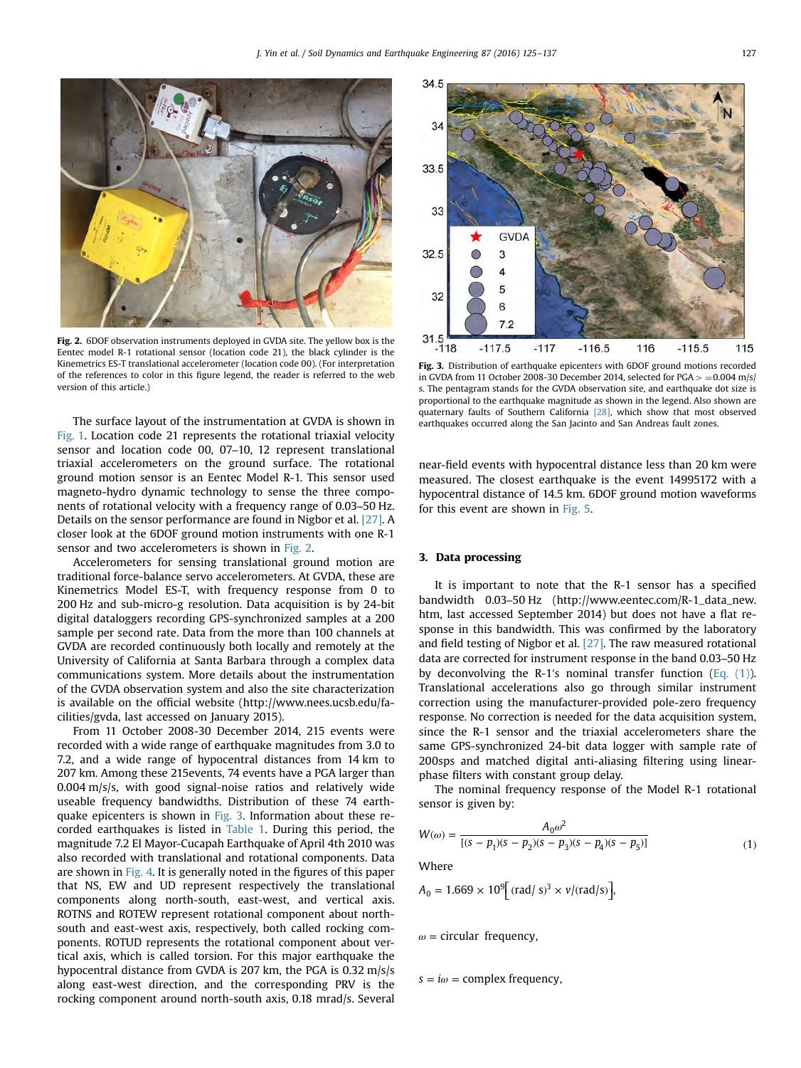

Fig. 2. 6DOF observation instruments deployed in GVDA site. The yellow box is the Eentec model R-1 rotational sensor (location code 21), the black cylinder is the Kinemetrics ES-T translational accelerometer (location code 00). (For interpretation of the references to color in this figure legend, the reader is referred to the web version of this article.)

The surface layout of the instrumentation at GVDA is shown in [Fig. 1.](#page-1-0) Location code 21 represents the rotational triaxial velocity sensor and location code 00, 07–10, 12 represent translational triaxial accelerometers on the ground surface. The rotational ground motion sensor is an Eentec Model R-1. This sensor used magneto-hydro dynamic technology to sense the three components of rotational velocity with a frequency range of 0.03–50 Hz. Details on the sensor performance are found in Nigbor et al. [\[27\]](#page-12-0). A closer look at the 6DOF ground motion instruments with one R-1 sensor and two accelerometers is shown in Fig. 2.

Accelerometers for sensing translational ground motion are traditional force-balance servo accelerometers. At GVDA, these are Kinemetrics Model ES-T, with frequency response from 0 to 200 Hz and sub-micro-g resolution. Data acquisition is by 24-bit digital dataloggers recording GPS-synchronized samples at a 200 sample per second rate. Data from the more than 100 channels at GVDA are recorded continuously both locally and remotely at the University of California at Santa Barbara through a complex data communications system. More details about the instrumentation of the GVDA observation system and also the site characterization is available on the official website (http://www.nees.ucsb.edu/facilities/gvda, last accessed on January 2015).

From 11 October 2008-30 December 2014, 215 events were recorded with a wide range of earthquake magnitudes from 3.0 to 7.2, and a wide range of hypocentral distances from 14 km to 207 km. Among these 215events, 74 events have a PGA larger than 0.004 m/s/s, with good signal-noise ratios and relatively wide useable frequency bandwidths. Distribution of these 74 earthquake epicenters is shown in Fig. 3. Information about these recorded earthquakes is listed in [Table 1](#page-3-0). During this period, the magnitude 7.2 EI Mayor-Cucapah Earthquake of April 4th 2010 was also recorded with translational and rotational components. Data are shown in [Fig. 4](#page-5-0). It is generally noted in the figures of this paper that NS, EW and UD represent respectively the translational components along north-south, east-west, and vertical axis. ROTNS and ROTEW represent rotational component about northsouth and east-west axis, respectively, both called rocking components. ROTUD represents the rotational component about vertical axis, which is called torsion. For this major earthquake the hypocentral distance from GVDA is 207 km, the PGA is 0.32 m/s/s along east-west direction, and the corresponding PRV is the rocking component around north-south axis, 0.18 mrad/s. Several



Fig. 3. Distribution of earthquake epicenters with 6DOF ground motions recorded in GVDA from 11 October 2008-30 December 2014, selected for  $PGA > = 0.004$  m/s/ s. The pentagram stands for the GVDA observation site, and earthquake dot size is proportional to the earthquake magnitude as shown in the legend. Also shown are quaternary faults of Southern California [\[28\],](#page-12-0) which show that most observed earthquakes occurred along the San Jacinto and San Andreas fault zones.

near-field events with hypocentral distance less than 20 km were measured. The closest earthquake is the event 14995172 with a hypocentral distance of 14.5 km. 6DOF ground motion waveforms for this event are shown in [Fig. 5](#page-5-0).

#### 3. Data processing

It is important to note that the R-1 sensor has a specified bandwidth 0.03–50 Hz (http://www.eentec.com/R-1\_data\_new. htm, last accessed September 2014) but does not have a flat response in this bandwidth. This was confirmed by the laboratory and field testing of Nigbor et al. [\[27\].](#page-12-0) The raw measured rotational data are corrected for instrument response in the band 0.03–50 Hz by deconvolving the R-1's nominal transfer function  $(Eq. (1))$ . Translational accelerations also go through similar instrument correction using the manufacturer-provided pole-zero frequency response. No correction is needed for the data acquisition system, since the R-1 sensor and the triaxial accelerometers share the same GPS-synchronized 24-bit data logger with sample rate of 200sps and matched digital anti-aliasing filtering using linearphase filters with constant group delay.

The nominal frequency response of the Model R-1 rotational sensor is given by:

$$
W(\omega) = \frac{A_0 \omega^2}{[(s - p_1)(s - p_2)(s - p_3)(s - p_4)(s - p_5)]}
$$
(1)

**Where** 

$$
A_0 = 1.669 \times 10^9 \text{ [rad/s]}^3 \times \nu / (\text{rad/s)} \text{]}
$$

*ω* = circular frequency,

 $s = i\omega$  = complex frequency,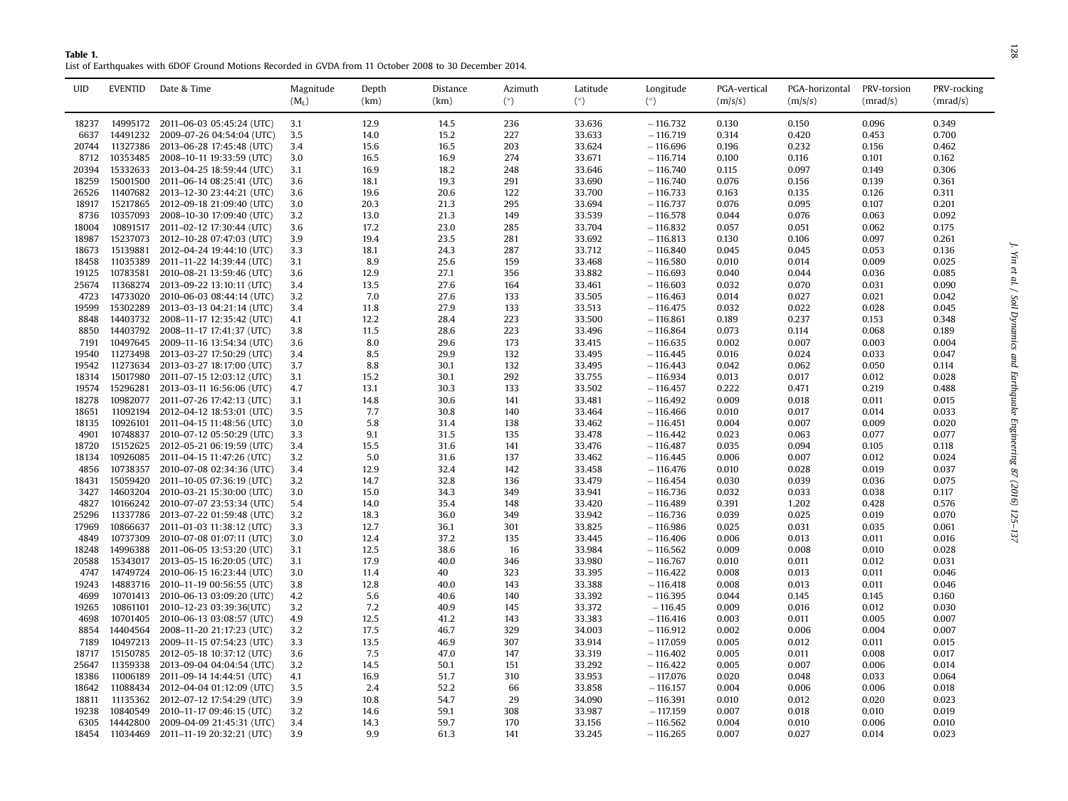<span id="page-3-0"></span>

| Table 1.                                                                                                |
|---------------------------------------------------------------------------------------------------------|
| List of Earthquakes with 6DOF Ground Motions Recorded in GVDA from 11 October 2008 to 30 December 2014. |

| <b>UID</b> | <b>EVENTID</b> | Date & Time                        | Magnitude | Depth | Distance | Azimuth | Latitude | Longitude  | PGA-vertical | PGA-horizontal | PRV-torsion | PRV-rocking |
|------------|----------------|------------------------------------|-----------|-------|----------|---------|----------|------------|--------------|----------------|-------------|-------------|
|            |                |                                    | $(M_L)$   | (km)  | (km)     | (°)     | (°)      | $(^\circ)$ | (m/s/s)      | (m/s/s)        | (mrad/s)    | (mrad/s)    |
| 18237      | 14995172       | 2011-06-03 05:45:24 (UTC)          | 3.1       | 12.9  | 14.5     | 236     | 33.636   | $-116,732$ | 0.130        | 0.150          | 0.096       | 0.349       |
| 6637       | 14491232       | 2009-07-26 04:54:04 (UTC)          | 3.5       | 14.0  | 15.2     | 227     | 33.633   | $-116,719$ | 0.314        | 0.420          | 0.453       | 0.700       |
| 20744      | 11327386       | 2013-06-28 17:45:48 (UTC)          | 3.4       | 15.6  | 16.5     | 203     | 33.624   | $-116.696$ | 0.196        | 0.232          | 0.156       | 0.462       |
| 8712       | 10353485       | 2008-10-11 19:33:59 (UTC)          | 3.0       | 16.5  | 16.9     | 274     | 33.671   | $-116.714$ | 0.100        | 0.116          | 0.101       | 0.162       |
| 20394      | 15332633       | 2013-04-25 18:59:44 (UTC)          | 3.1       | 16.9  | 18.2     | 248     | 33.646   | $-116,740$ | 0.115        | 0.097          | 0.149       | 0.306       |
| 18259      | 15001500       | 2011-06-14 08:25:41 (UTC)          | 3.6       | 18.1  | 19.3     | 291     | 33.690   | $-116,740$ | 0.076        | 0.156          | 0.139       | 0.361       |
| 26526      | 11407682       | 2013-12-30 23:44:21 (UTC)          | 3.6       | 19.6  | 20.6     | 122     | 33.700   | $-116.733$ | 0.163        | 0.135          | 0.126       | 0.311       |
| 18917      | 15217865       | 2012-09-18 21:09:40 (UTC)          | 3.0       | 20.3  | 21.3     | 295     | 33.694   | $-116.737$ | 0.076        | 0.095          | 0.107       | 0.201       |
| 8736       | 10357093       | 2008-10-30 17:09:40 (UTC)          | 3.2       | 13.0  | 21.3     | 149     | 33.539   | $-116.578$ | 0.044        | 0.076          | 0.063       | 0.092       |
| 18004      | 10891517       | 2011-02-12 17:30:44 (UTC)          | 3.6       | 17.2  | 23.0     | 285     | 33.704   | $-116.832$ | 0.057        | 0.051          | 0.062       | 0.175       |
| 18987      | 15237073       | 2012-10-28 07:47:03 (UTC)          | 3.9       | 19.4  | 23.5     | 281     | 33.692   | $-116.813$ | 0.130        | 0.106          | 0.097       | 0.261       |
| 18673      | 15139881       | 2012-04-24 19:44:10 (UTC)          | 3.3       | 18.1  | 24.3     | 287     | 33.712   | $-116.840$ | 0.045        | 0.045          | 0.053       | 0.136       |
| 18458      | 11035389       | 2011-11-22 14:39:44 (UTC)          | 3.1       | 8.9   | 25.6     | 159     | 33.468   | $-116,580$ | 0.010        | 0.014          | 0.009       | 0.025       |
| 19125      | 10783581       | 2010-08-21 13:59:46 (UTC)          | 3.6       | 12.9  | 27.1     | 356     | 33.882   | $-116.693$ | 0.040        | 0.044          | 0.036       | 0.085       |
| 25674      | 11368274       | 2013-09-22 13:10:11 (UTC)          | 3.4       | 13.5  | 27.6     | 164     | 33.461   | $-116,603$ | 0.032        | 0.070          | 0.031       | 0.090       |
| 4723       | 14733020       | 2010-06-03 08:44:14 (UTC)          | 3.2       | 7.0   | 27.6     | 133     | 33.505   | $-116,463$ | 0.014        | 0.027          | 0.021       | 0.042       |
| 19599      | 15302289       | 2013-03-13 04:21:14 (UTC)          | 3.4       | 11.8  | 27.9     | 133     | 33.513   | $-116.475$ | 0.032        | 0.022          | 0.028       | 0.045       |
| 8848       | 14403732       | 2008-11-17 12:35:42 (UTC)          | 4.1       | 12.2  | 28.4     | 223     | 33.500   | $-116.861$ | 0.189        | 0.237          | 0.153       | 0.348       |
| 8850       | 14403792       | 2008-11-17 17:41:37 (UTC)          | 3.8       | 11.5  | 28.6     | 223     | 33.496   | $-116.864$ | 0.073        | 0.114          | 0.068       | 0.189       |
| 7191       | 10497645       | 2009-11-16 13:54:34 (UTC)          | 3.6       | 8.0   | 29.6     | 173     | 33.415   | $-116.635$ | 0.002        | 0.007          | 0.003       | 0.004       |
| 19540      | 11273498       | 2013-03-27 17:50:29 (UTC)          | 3.4       | 8.5   | 29.9     | 132     | 33.495   | $-116.445$ | 0.016        | 0.024          | 0.033       | 0.047       |
| 19542      | 11273634       | 2013-03-27 18:17:00 (UTC)          | 3.7       | 8.8   | 30.1     | 132     | 33.495   |            | 0.042        | 0.062          | 0.050       |             |
|            |                |                                    |           |       |          |         |          | $-116.443$ |              |                |             | 0.114       |
| 18314      | 15017980       | 2011-07-15 12:03:12 (UTC)          | 3.1       | 15.2  | 30.1     | 292     | 33.755   | $-116.934$ | 0.013        | 0.017          | 0.012       | 0.028       |
| 19574      | 15296281       | 2013-03-11 16:56:06 (UTC)          | 4.7       | 13.1  | 30.3     | 133     | 33.502   | $-116.457$ | 0.222        | 0.471          | 0.219       | 0.488       |
| 18278      | 10982077       | 2011-07-26 17:42:13 (UTC)          | 3.1       | 14.8  | 30.6     | 141     | 33.481   | $-116.492$ | 0.009        | 0.018          | 0.011       | 0.015       |
| 18651      | 11092194       | 2012-04-12 18:53:01 (UTC)          | 3.5       | 7.7   | 30.8     | 140     | 33.464   | $-116,466$ | 0.010        | 0.017          | 0.014       | 0.033       |
| 18135      | 10926101       | 2011-04-15 11:48:56 (UTC)          | 3.0       | 5.8   | 31.4     | 138     | 33.462   | $-116.451$ | 0.004        | 0.007          | 0.009       | 0.020       |
| 4901       | 10748837       | 2010-07-12 05:50:29 (UTC)          | 3.3       | 9.1   | 31.5     | 135     | 33.478   | $-116.442$ | 0.023        | 0.063          | 0.077       | 0.077       |
| 18720      | 15152625       | 2012-05-21 06:19:59 (UTC)          | 3.4       | 15.5  | 31.6     | 141     | 33.476   | $-116.487$ | 0.035        | 0.094          | 0.105       | 0.118       |
| 18134      | 10926085       | 2011-04-15 11:47:26 (UTC)          | 3.2       | 5.0   | 31.6     | 137     | 33.462   | $-116.445$ | 0.006        | 0.007          | 0.012       | 0.024       |
| 4856       | 10738357       | 2010-07-08 02:34:36 (UTC)          | 3.4       | 12.9  | 32.4     | 142     | 33.458   | $-116,476$ | 0.010        | 0.028          | 0.019       | 0.037       |
| 18431      | 15059420       | 2011-10-05 07:36:19 (UTC)          | 3.2       | 14.7  | 32.8     | 136     | 33.479   | $-116.454$ | 0.030        | 0.039          | 0.036       | 0.075       |
| 3427       | 14603204       | 2010-03-21 15:30:00 (UTC)          | 3.0       | 15.0  | 34.3     | 349     | 33.941   | $-116.736$ | 0.032        | 0.033          | 0.038       | 0.117       |
| 4827       | 10166242       | 2010-07-07 23:53:34 (UTC)          | 5.4       | 14.0  | 35.4     | 148     | 33.420   | $-116.489$ | 0.391        | 1.202          | 0.428       | 0.576       |
| 25296      | 11337786       | 2013-07-22 01:59:48 (UTC)          | 3.2       | 18.3  | 36.0     | 349     | 33.942   | $-116.736$ | 0.039        | 0.025          | 0.019       | 0.070       |
| 17969      | 10866637       | 2011-01-03 11:38:12 (UTC)          | 3.3       | 12.7  | 36.1     | 301     | 33.825   | $-116.986$ | 0.025        | 0.031          | 0.035       | 0.061       |
| 4849       | 10737309       | 2010-07-08 01:07:11 (UTC)          | 3.0       | 12.4  | 37.2     | 135     | 33.445   | $-116,406$ | 0.006        | 0.013          | 0.011       | 0.016       |
| 18248      | 14996388       | 2011-06-05 13:53:20 (UTC)          | 3.1       | 12.5  | 38.6     | 16      | 33.984   | $-116,562$ | 0.009        | 0.008          | 0.010       | 0.028       |
| 20588      | 15343017       | 2013-05-15 16:20:05 (UTC)          | 3.1       | 17.9  | 40.0     | 346     | 33.980   | $-116,767$ | 0.010        | 0.011          | 0.012       | 0.031       |
| 4747       | 14749724       | 2010-06-15 16:23:44 (UTC)          | 3.0       | 11.4  | 40       | 323     | 33.395   | $-116.422$ | 0.008        | 0.013          | 0.011       | 0.046       |
| 19243      | 14883716       | 2010-11-19 00:56:55 (UTC)          | 3.8       | 12.8  | 40.0     | 143     | 33.388   | $-116.418$ | 0.008        | 0.013          | 0.011       | 0.046       |
| 4699       |                | 10701413 2010-06-13 03:09:20 (UTC) | 4.2       | 5.6   | 40.6     | 140     | 33.392   | $-116.395$ | 0.044        | 0.145          | 0.145       | 0.160       |
| 19265      | 10861101       | 2010-12-23 03:39:36(UTC)           | 3.2       | 7.2   | 40.9     | 145     | 33.372   | $-116.45$  | 0.009        | 0.016          | 0.012       | 0.030       |
| 4698       | 10701405       | 2010-06-13 03:08:57 (UTC)          | 4.9       | 12.5  | 41.2     | 143     | 33.383   | $-116,416$ | 0.003        | 0.011          | 0.005       | 0.007       |
| 8854       | 14404564       | 2008-11-20 21:17:23 (UTC)          | 3.2       | 17.5  | 46.7     | 329     | 34.003   | $-116.912$ | 0.002        | 0.006          | 0.004       | 0.007       |
| 7189       | 10497213       | 2009-11-15 07:54:23 (UTC)          | 3.3       | 13.5  | 46.9     | 307     | 33.914   | $-117.059$ | 0.005        | 0.012          | 0.011       | 0.015       |
| 18717      | 15150785       | 2012-05-18 10:37:12 (UTC)          | 3.6       | 7.5   | 47.0     | 147     | 33.319   | $-116.402$ | 0.005        | 0.011          | 0.008       | 0.017       |
| 25647      | 11359338       | 2013-09-04 04:04:54 (UTC)          | 3.2       | 14.5  | 50.1     | 151     | 33.292   | $-116.422$ | 0.005        | 0.007          | 0.006       | 0.014       |
| 18386      | 11006189       | 2011-09-14 14:44:51 (UTC)          | 4.1       | 16.9  | 51.7     | 310     | 33.953   | $-117.076$ | 0.020        | 0.048          | 0.033       | 0.064       |
| 18642      | 11088434       | 2012-04-04 01:12:09 (UTC)          | 3.5       | 2.4   | 52.2     | 66      | 33.858   | $-116.157$ | 0.004        | 0.006          | 0.006       | 0.018       |
| 18811      | 11135362       | 2012-07-12 17:54:29 (UTC)          | 3.9       | 10.8  | 54.7     | 29      | 34.090   | $-116.391$ | 0.010        | 0.012          | 0.020       | 0.023       |
| 19238      | 10840549       | 2010-11-17 09:46:15 (UTC)          | 3.2       | 14.6  | 59.1     | 308     | 33.987   | $-117.159$ | 0.007        | 0.018          | 0.010       | 0.019       |
| 6305       | 14442800       | 2009-04-09 21:45:31 (UTC)          | 3.4       | 14.3  | 59.7     | 170     | 33.156   | $-116.562$ | 0.004        | 0.010          | 0.006       | 0.010       |
| 18454      | 11034469       | 2011-11-19 20:32:21 (UTC)          | 3.9       | 9.9   | 61.3     | 141     | 33.245   | $-116.265$ | 0.007        | 0.027          | 0.014       | 0.023       |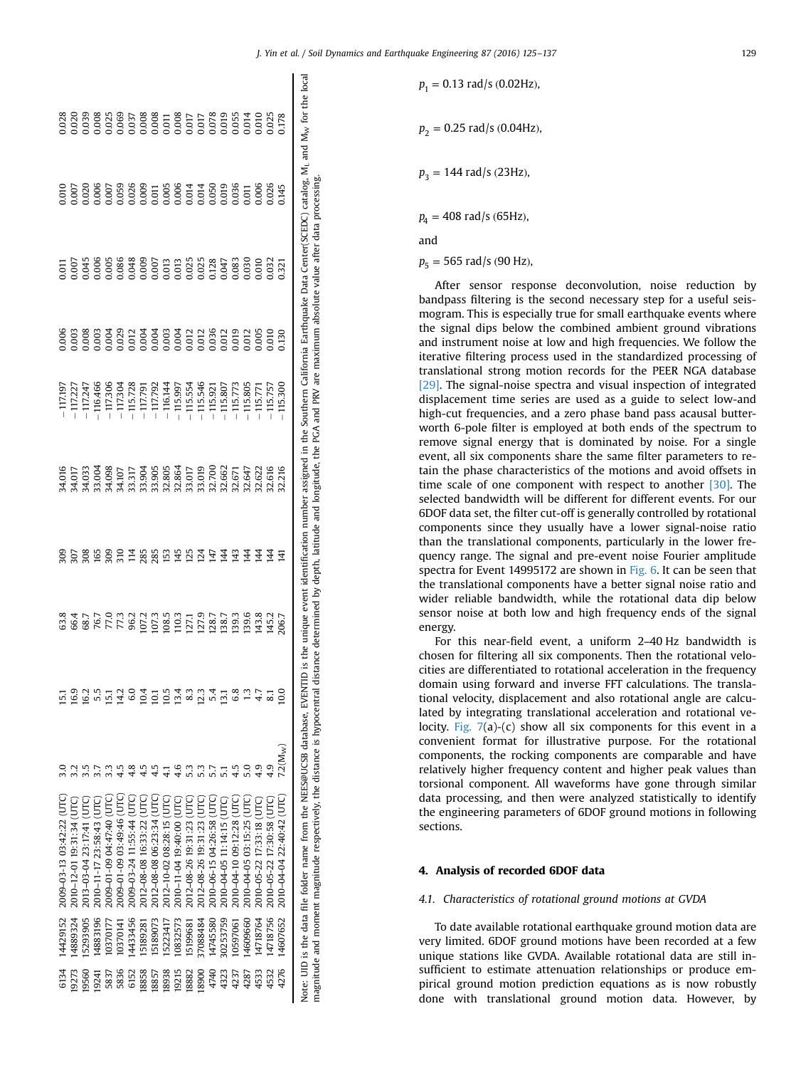|  |  | is the unique event identification number assigned in the Southern California Earthquake Data Center(SCEDC) catalog, M <sub>1</sub> and M <sub>w</sub> for the loca                                                                                                                                                    |                 |                                                                                                                                        |                 |               | Note: UID is the data file folder name from the NEES@UCSB database, EVENTII |          |       |
|--|--|------------------------------------------------------------------------------------------------------------------------------------------------------------------------------------------------------------------------------------------------------------------------------------------------------------------------|-----------------|----------------------------------------------------------------------------------------------------------------------------------------|-----------------|---------------|-----------------------------------------------------------------------------|----------|-------|
|  |  |                                                                                                                                                                                                                                                                                                                        | EN.             |                                                                                                                                        |                 |               | 2010-04-04 22:40:42 (UTC                                                    | 14607652 | 4276  |
|  |  | $\begin{tabular}{l} 17.271 \\ -117.24 \\ -117.24 \\ -117.28 \\ -117.29 \\ -117.29 \\ -117.29 \\ -117.29 \\ -117.29 \\ -117.29 \\ -117.29 \\ -117.29 \\ -117.29 \\ -117.29 \\ -117.29 \\ -117.29 \\ -117.29 \\ -117.29 \\ -117.29 \\ -117.29 \\ -117.29 \\ -117.29 \\ -117.29 \\ -117.29 \\ -117.29 \\ -117.29 \\ -117$ | $\overline{4}$  | 43.7<br>145.7<br>206.7                                                                                                                 |                 |               | 2010-05-22 17:30:58 (UTC                                                    | 14718756 | 4532  |
|  |  |                                                                                                                                                                                                                                                                                                                        | $\overline{4}$  |                                                                                                                                        |                 |               | 2010-05-22 17:33:18 (UTC)                                                   | 4718764  | 4533  |
|  |  |                                                                                                                                                                                                                                                                                                                        | $\overline{4}$  |                                                                                                                                        |                 |               | 2010-04-05 03:15:25 (UT)                                                    | 4609660  | 4287  |
|  |  |                                                                                                                                                                                                                                                                                                                        | $\overline{4}3$ | $\begin{array}{l} 07.7 \\ 07.7 \\ 08.5 \\ 09.3 \\ 10.7 \\ 11.7 \\ 09.5 \\ 01.7 \\ 01.8 \\ 03.5 \\ 03.6 \\ 03.9 \\ 03.6 \\ \end{array}$ | 6.8             |               | 2010-04-10 09:12:28 (UTC                                                    | 10597061 | 4237  |
|  |  |                                                                                                                                                                                                                                                                                                                        | 144             |                                                                                                                                        | $\overline{13}$ |               | 2010-04-05 11:14:15 (UTC                                                    | 30253759 | 4323  |
|  |  |                                                                                                                                                                                                                                                                                                                        | 147             |                                                                                                                                        | 54              |               | 2010-06-15 04:26:58 (UTC                                                    | 14745580 | 4740  |
|  |  |                                                                                                                                                                                                                                                                                                                        | 124             |                                                                                                                                        | 12.3            | $\frac{3}{2}$ | 2012-08-26 19:31:23 (UT                                                     | 37088484 | 18900 |
|  |  |                                                                                                                                                                                                                                                                                                                        | 125             |                                                                                                                                        | 83              | ှိ            | 2012-08-26 19:31:23 (UTC                                                    | 5199681  | 18882 |
|  |  |                                                                                                                                                                                                                                                                                                                        | 145             |                                                                                                                                        | 13.4            | 4.6           | 2010-11-04 19:40:00 (UTC                                                    | 10832573 | 19215 |
|  |  |                                                                                                                                                                                                                                                                                                                        |                 |                                                                                                                                        | 10.5            |               | 2012-10-02 08:28:15 (UT)                                                    | 5223417  | 18938 |
|  |  |                                                                                                                                                                                                                                                                                                                        | 27.5882         |                                                                                                                                        |                 | 45            | 2012-08-08 06:23:34 (UT)                                                    | 5189073  | 18857 |
|  |  |                                                                                                                                                                                                                                                                                                                        |                 |                                                                                                                                        | $\frac{4}{10}$  |               | 2012-08-08 16:33:22 (UTC                                                    | 5189281  | 18858 |
|  |  |                                                                                                                                                                                                                                                                                                                        |                 |                                                                                                                                        | 6.0             |               | 2009–03-24 11:55:44 (UT                                                     | 4433456  | 6152  |
|  |  |                                                                                                                                                                                                                                                                                                                        |                 |                                                                                                                                        | 14.2            |               | 2009-01-09 03:49:46 UT                                                      | 0370141  | 5836  |
|  |  |                                                                                                                                                                                                                                                                                                                        | 309             | 8<br>8 8 8 7 7 8 9<br>8 9 8 7 7 8 9                                                                                                    | $\overline{15}$ |               | 2009-01-09 04:47:40 UTC                                                     | 0370177  | 5837  |
|  |  |                                                                                                                                                                                                                                                                                                                        |                 |                                                                                                                                        |                 |               | 2010-11-17 23:58:43 (UTC                                                    | 4883196  | 19241 |
|  |  |                                                                                                                                                                                                                                                                                                                        |                 |                                                                                                                                        | 16.2            |               | 2013-03-04 23:17:41 (UTC                                                    | 5293905  | 19560 |
|  |  |                                                                                                                                                                                                                                                                                                                        | 20800           |                                                                                                                                        | 16.9            |               | 2010-12-01 19:31:34 (UTC                                                    | 4889324  | 19273 |
|  |  | .117.197                                                                                                                                                                                                                                                                                                               |                 |                                                                                                                                        |                 |               | 2009-03-13 03:42:22 (UTC)                                                   | 14429152 | 6134  |

magnitude and moment magnitude respectively, the distance is hypocentral distance determined by depth, latitude and longitude, the PGA and PRV are maximum absolute value after data processing.

magnitude and moment magnitude respectively, the distance is hypocentral distance determined by depth, latitude and longitude, the PCA and PRV

are maximum absolute value after data processing

 $p_1 = 0.13$  rad/s (0.02Hz),  $p_2 = 0.25$  rad/s  $(0.04$ Hz),  $p_2 = 144$  rad/s (23Hz),  $p_4 = 408$  rad/s (65Hz),

and

 $p_5 = 565$  rad/s (90 Hz),

After sensor response deconvolution, noise reduction by bandpass filtering is the second necessary step for a useful seismogram. This is especially true for small earthquake events where the signal dips below the combined ambient ground vibrations and instrument noise at low and high frequencies. We follow the iterative filtering process used in the standardized processing of translational strong motion records for the PEER NGA database [\[29\].](#page-12-0) The signal-noise spectra and visual inspection of integrated displacement time series are used as a guide to select low-and high-cut frequencies, and a zero phase band pass acausal butterworth 6-pole filter is employed at both ends of the spectrum to remove signal energy that is dominated by noise. For a single event, all six components share the same filter parameters to retain the phase characteristics of the motions and avoid offsets in time scale of one component with respect to another [\[30\]](#page-12-0). The selected bandwidth will be different for different events. For our 6DOF data set, the filter cut-off is generally controlled by rotational components since they usually have a lower signal-noise ratio than the translational components, particularly in the lower frequency range. The signal and pre-event noise Fourier amplitude spectra for Event 14995172 are shown in [Fig. 6](#page-6-0). It can be seen that the translational components have a better signal noise ratio and wider reliable bandwidth, while the rotational data dip below sensor noise at both low and high frequency ends of the signal energy.

For this near-field event, a uniform 2–40 Hz bandwidth is chosen for filtering all six components. Then the rotational velocities are differentiated to rotational acceleration in the frequency domain using forward and inverse FFT calculations. The translational velocity, displacement and also rotational angle are calculated by integrating translational acceleration and rotational velocity. [Fig. 7\(](#page-7-0)a)-(c) show all six components for this event in a convenient format for illustrative purpose. For the rotational components, the rocking components are comparable and have relatively higher frequency content and higher peak values than torsional component. All waveforms have gone through similar data processing, and then were analyzed statistically to identify the engineering parameters of 6DOF ground motions in following sections.

#### 4. Analysis of recorded 6DOF data

#### 4.1. Characteristics of rotational ground motions at GVDA

To date available rotational earthquake ground motion data are very limited. 6DOF ground motions have been recorded at a few unique stations like GVDA. Available rotational data are still insufficient to estimate attenuation relationships or produce empirical ground motion prediction equations as is now robustly done with translational ground motion data. However, by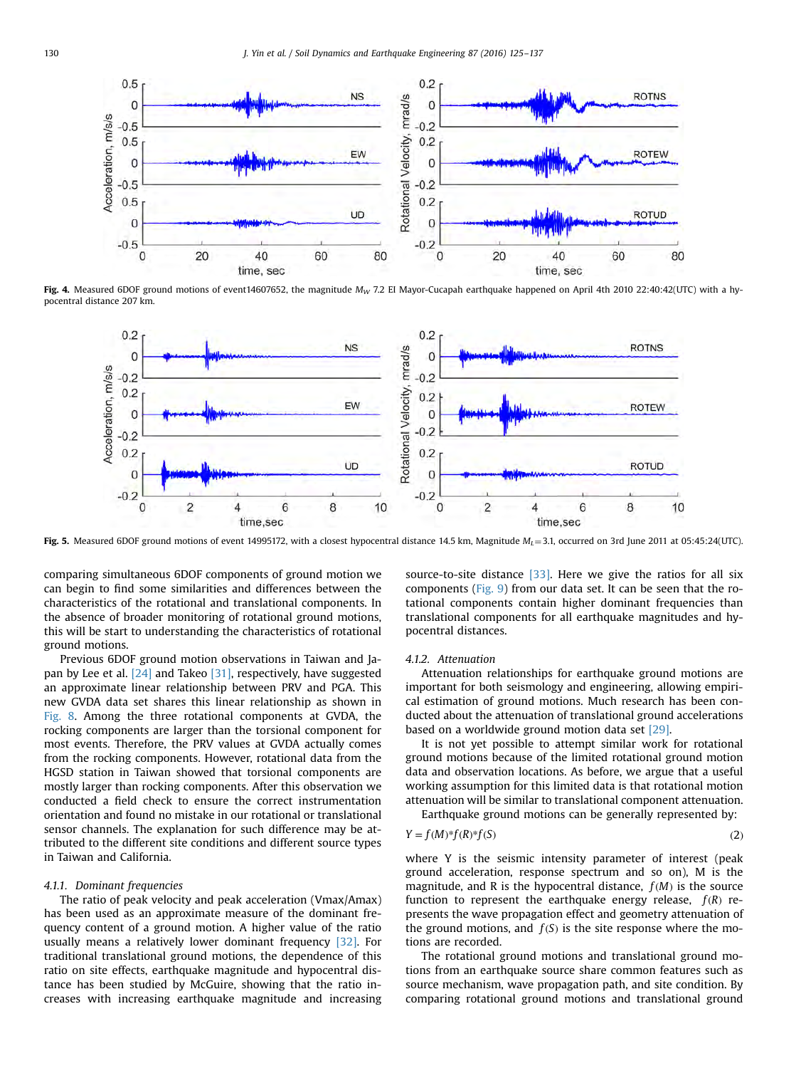<span id="page-5-0"></span>

Fig. 4. Measured 6DOF ground motions of event14607652, the magnitude  $M_W$  7.2 EI Mayor-Cucapah earthquake happened on April 4th 2010 22:40:42(UTC) with a hypocentral distance 207 km.



Fig. 5. Measured 6DOF ground motions of event 14995172, with a closest hypocentral distance 14.5 km, Magnitude  $M_L = 3.1$ , occurred on 3rd June 2011 at 05:45:24(UTC).

comparing simultaneous 6DOF components of ground motion we can begin to find some similarities and differences between the characteristics of the rotational and translational components. In the absence of broader monitoring of rotational ground motions, this will be start to understanding the characteristics of rotational ground motions.

Previous 6DOF ground motion observations in Taiwan and Japan by Lee et al. [\[24\]](#page-12-0) and Takeo [\[31\],](#page-12-0) respectively, have suggested an approximate linear relationship between PRV and PGA. This new GVDA data set shares this linear relationship as shown in [Fig. 8](#page-8-0). Among the three rotational components at GVDA, the rocking components are larger than the torsional component for most events. Therefore, the PRV values at GVDA actually comes from the rocking components. However, rotational data from the HGSD station in Taiwan showed that torsional components are mostly larger than rocking components. After this observation we conducted a field check to ensure the correct instrumentation orientation and found no mistake in our rotational or translational sensor channels. The explanation for such difference may be attributed to the different site conditions and different source types in Taiwan and California.

#### 4.1.1. Dominant frequencies

The ratio of peak velocity and peak acceleration (Vmax/Amax) has been used as an approximate measure of the dominant frequency content of a ground motion. A higher value of the ratio usually means a relatively lower dominant frequency [\[32\]](#page-12-0). For traditional translational ground motions, the dependence of this ratio on site effects, earthquake magnitude and hypocentral distance has been studied by McGuire, showing that the ratio increases with increasing earthquake magnitude and increasing source-to-site distance  $[33]$ . Here we give the ratios for all six components [\(Fig. 9\)](#page-8-0) from our data set. It can be seen that the rotational components contain higher dominant frequencies than translational components for all earthquake magnitudes and hypocentral distances.

#### 4.1.2. Attenuation

Attenuation relationships for earthquake ground motions are important for both seismology and engineering, allowing empirical estimation of ground motions. Much research has been conducted about the attenuation of translational ground accelerations based on a worldwide ground motion data set [\[29\].](#page-12-0)

It is not yet possible to attempt similar work for rotational ground motions because of the limited rotational ground motion data and observation locations. As before, we argue that a useful working assumption for this limited data is that rotational motion attenuation will be similar to translational component attenuation.

Earthquake ground motions can be generally represented by:

$$
Y = f(M)^* f(R)^* f(S) \tag{2}
$$

where Y is the seismic intensity parameter of interest (peak ground acceleration, response spectrum and so on), M is the magnitude, and R is the hypocentral distance,  $f(M)$  is the source function to represent the earthquake energy release,  $f(R)$  represents the wave propagation effect and geometry attenuation of the ground motions, and  $f(S)$  is the site response where the motions are recorded.

The rotational ground motions and translational ground motions from an earthquake source share common features such as source mechanism, wave propagation path, and site condition. By comparing rotational ground motions and translational ground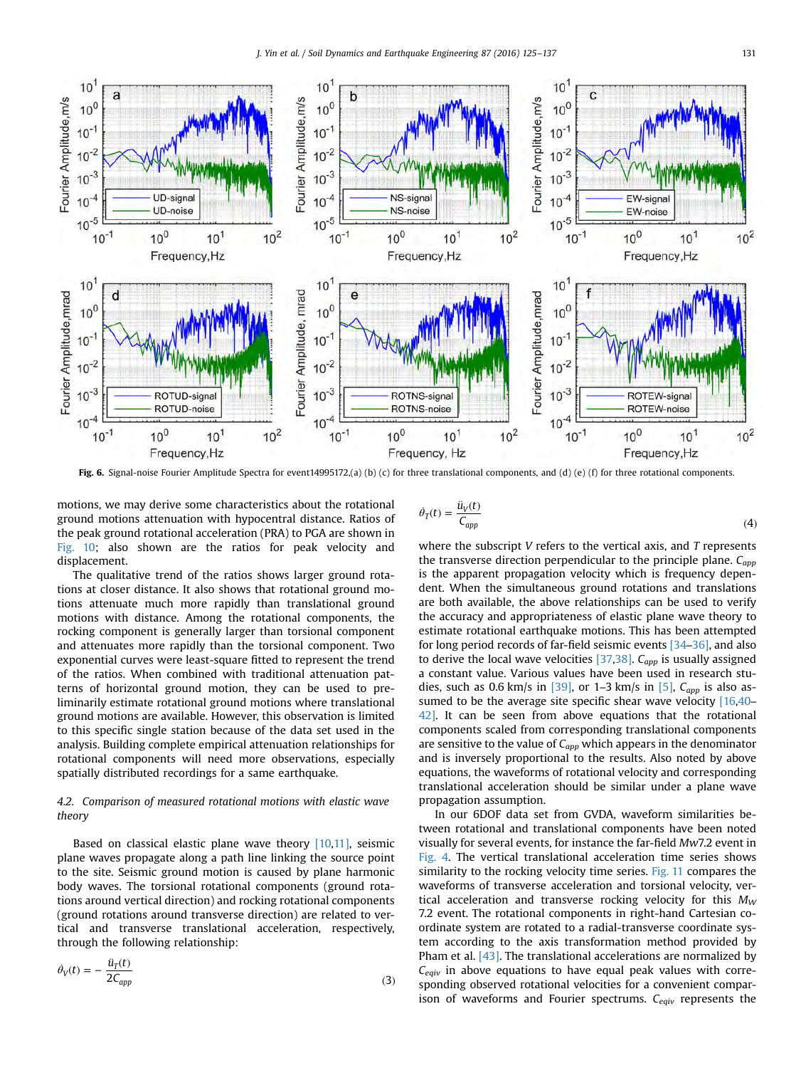<span id="page-6-0"></span>

Fig. 6. Signal-noise Fourier Amplitude Spectra for event14995172,(a) (b) (c) for three translational components, and (d) (e) (f) for three rotational components.

motions, we may derive some characteristics about the rotational ground motions attenuation with hypocentral distance. Ratios of the peak ground rotational acceleration (PRA) to PGA are shown in [Fig. 10;](#page-9-0) also shown are the ratios for peak velocity and displacement.

The qualitative trend of the ratios shows larger ground rotations at closer distance. It also shows that rotational ground motions attenuate much more rapidly than translational ground motions with distance. Among the rotational components, the rocking component is generally larger than torsional component and attenuates more rapidly than the torsional component. Two exponential curves were least-square fitted to represent the trend of the ratios. When combined with traditional attenuation patterns of horizontal ground motion, they can be used to preliminarily estimate rotational ground motions where translational ground motions are available. However, this observation is limited to this specific single station because of the data set used in the analysis. Building complete empirical attenuation relationships for rotational components will need more observations, especially spatially distributed recordings for a same earthquake.

## 4.2. Comparison of measured rotational motions with elastic wave theory

Based on classical elastic plane wave theory [\[10,11\],](#page-12-0) seismic plane waves propagate along a path line linking the source point to the site. Seismic ground motion is caused by plane harmonic body waves. The torsional rotational components (ground rotations around vertical direction) and rocking rotational components (ground rotations around transverse direction) are related to vertical and transverse translational acceleration, respectively, through the following relationship:

$$
\dot{\theta}_V(t) = -\frac{\dot{u}_T(t)}{2C_{app}}\tag{3}
$$

$$
\dot{\theta}_T(t) = \frac{\dot{u}_V(t)}{C_{app}}\tag{4}
$$

where the subscript  $V$  refers to the vertical axis, and  $T$  represents the transverse direction perpendicular to the principle plane.  $C_{app}$ is the apparent propagation velocity which is frequency dependent. When the simultaneous ground rotations and translations are both available, the above relationships can be used to verify the accuracy and appropriateness of elastic plane wave theory to estimate rotational earthquake motions. This has been attempted for long period records of far-field seismic events [\[34](#page-12-0)–[36\]](#page-12-0), and also to derive the local wave velocities [\[37,38\].](#page-12-0)  $C_{app}$  is usually assigned a constant value. Various values have been used in research stu-dies, such as 0.6 km/s in [\[39\]](#page-12-0), or 1–3 km/s in [\[5\],](#page-12-0)  $C_{app}$  is also as-sumed to be the average site specific shear wave velocity [\[16](#page-12-0),[40](#page-12-0)-[42\].](#page-12-0) It can be seen from above equations that the rotational components scaled from corresponding translational components are sensitive to the value of  $C_{app}$  which appears in the denominator and is inversely proportional to the results. Also noted by above equations, the waveforms of rotational velocity and corresponding translational acceleration should be similar under a plane wave propagation assumption.

In our 6DOF data set from GVDA, waveform similarities between rotational and translational components have been noted visually for several events, for instance the far-field Mw7.2 event in [Fig. 4](#page-5-0). The vertical translational acceleration time series shows similarity to the rocking velocity time series. [Fig. 11](#page-9-0) compares the waveforms of transverse acceleration and torsional velocity, vertical acceleration and transverse rocking velocity for this  $M_W$ 7.2 event. The rotational components in right-hand Cartesian coordinate system are rotated to a radial-transverse coordinate system according to the axis transformation method provided by Pham et al. [\[43\].](#page-12-0) The translational accelerations are normalized by  $C_{\text{eav}}$  in above equations to have equal peak values with corresponding observed rotational velocities for a convenient comparison of waveforms and Fourier spectrums.  $C_{equiv}$  represents the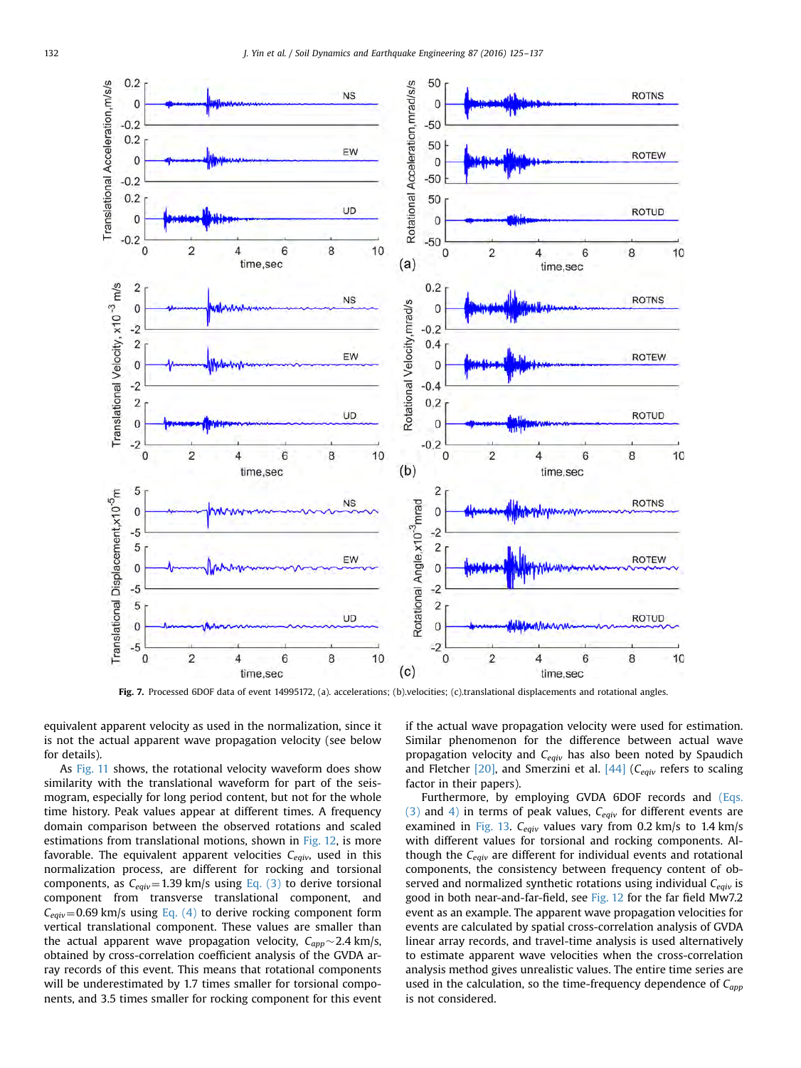<span id="page-7-0"></span>

Fig. 7. Processed 6DOF data of event 14995172, (a). accelerations; (b).velocities; (c).translational displacements and rotational angles.

equivalent apparent velocity as used in the normalization, since it is not the actual apparent wave propagation velocity (see below for details).

As [Fig. 11](#page-9-0) shows, the rotational velocity waveform does show similarity with the translational waveform for part of the seismogram, especially for long period content, but not for the whole time history. Peak values appear at different times. A frequency domain comparison between the observed rotations and scaled estimations from translational motions, shown in [Fig. 12](#page-10-0), is more favorable. The equivalent apparent velocities  $C_{equiv}$ , used in this normalization process, are different for rocking and torsional components, as  $C_{equiv}=1.39$  km/s using [Eq. \(3\)](#page-6-0) to derive torsional component from transverse translational component, and  $C_{equiv}=0.69$  km/s using [Eq. \(4\)](#page-6-0) to derive rocking component form vertical translational component. These values are smaller than the actual apparent wave propagation velocity,  $C_{app} \sim 2.4$  km/s, obtained by cross-correlation coefficient analysis of the GVDA array records of this event. This means that rotational components will be underestimated by 1.7 times smaller for torsional components, and 3.5 times smaller for rocking component for this event if the actual wave propagation velocity were used for estimation. Similar phenomenon for the difference between actual wave propagation velocity and  $C_{equiv}$  has also been noted by Spaudich and Fletcher  $[20]$ , and Smerzini et al.  $[44]$  (C<sub>eqiv</sub> refers to scaling factor in their papers).

Furthermore, by employing GVDA 6DOF records and [\(Eqs.](#page-6-0) [\(3\)](#page-6-0) and [4\)](#page-6-0) in terms of peak values,  $C_{equiv}$  for different events are examined in [Fig. 13.](#page-10-0)  $C_{equiv}$  values vary from 0.2 km/s to 1.4 km/s with different values for torsional and rocking components. Although the  $C_{equiv}$  are different for individual events and rotational components, the consistency between frequency content of observed and normalized synthetic rotations using individual  $C_{equiv}$  is good in both near-and-far-field, see [Fig. 12](#page-10-0) for the far field Mw7.2 event as an example. The apparent wave propagation velocities for events are calculated by spatial cross-correlation analysis of GVDA linear array records, and travel-time analysis is used alternatively to estimate apparent wave velocities when the cross-correlation analysis method gives unrealistic values. The entire time series are used in the calculation, so the time-frequency dependence of  $C_{app}$ is not considered.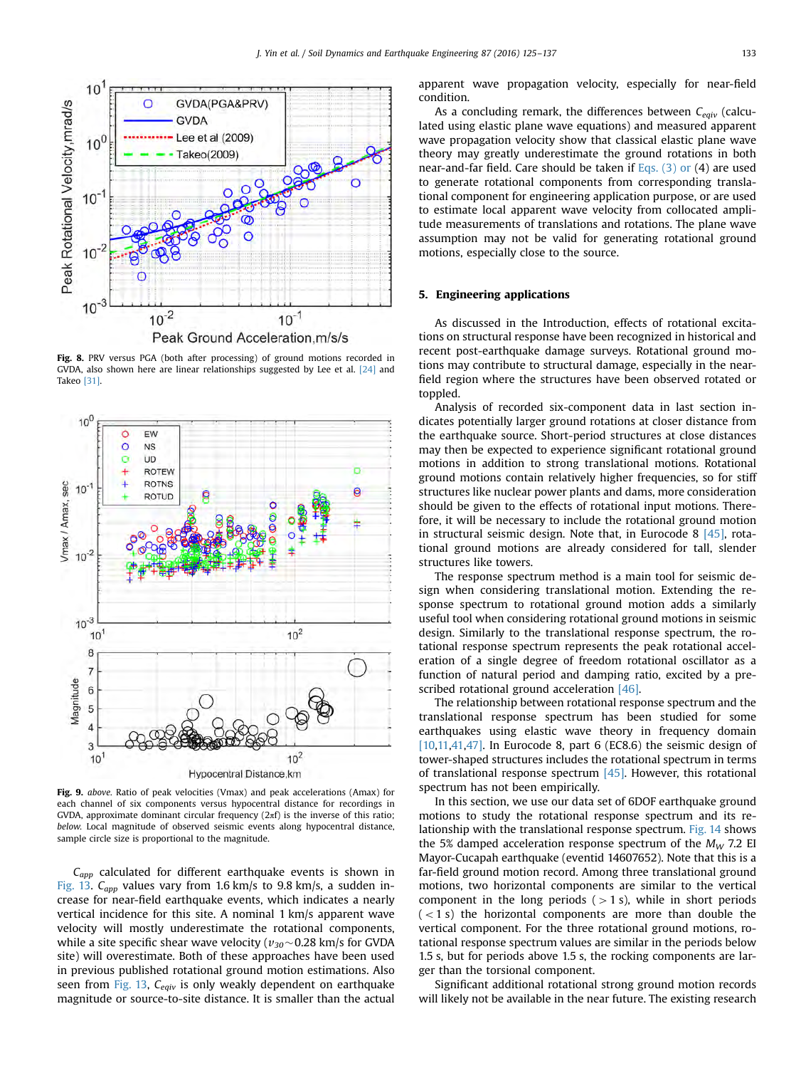<span id="page-8-0"></span>

Fig. 8. PRV versus PGA (both after processing) of ground motions recorded in GVDA, also shown here are linear relationships suggested by Lee et al. [\[24\]](#page-12-0) and Takeo [\[31\]](#page-12-0).



Fig. 9. above. Ratio of peak velocities (Vmax) and peak accelerations (Amax) for each channel of six components versus hypocentral distance for recordings in GVDA, approximate dominant circular frequency  $(2\pi f)$  is the inverse of this ratio; below. Local magnitude of observed seismic events along hypocentral distance, sample circle size is proportional to the magnitude.

 $C_{app}$  calculated for different earthquake events is shown in [Fig. 13](#page-10-0).  $C_{app}$  values vary from 1.6 km/s to 9.8 km/s, a sudden increase for near-field earthquake events, which indicates a nearly vertical incidence for this site. A nominal 1 km/s apparent wave velocity will mostly underestimate the rotational components, while a site specific shear wave velocity ( $v_{30}$  ~ 0.28 km/s for GVDA site) will overestimate. Both of these approaches have been used in previous published rotational ground motion estimations. Also seen from [Fig. 13,](#page-10-0)  $C_{equiv}$  is only weakly dependent on earthquake magnitude or source-to-site distance. It is smaller than the actual apparent wave propagation velocity, especially for near-field condition.

As a concluding remark, the differences between  $C_{equiv}$  (calculated using elastic plane wave equations) and measured apparent wave propagation velocity show that classical elastic plane wave theory may greatly underestimate the ground rotations in both near-and-far field. Care should be taken if  $Eqs.$  (3) or (4) are used to generate rotational components from corresponding translational component for engineering application purpose, or are used to estimate local apparent wave velocity from collocated amplitude measurements of translations and rotations. The plane wave assumption may not be valid for generating rotational ground motions, especially close to the source.

#### 5. Engineering applications

As discussed in the Introduction, effects of rotational excitations on structural response have been recognized in historical and recent post-earthquake damage surveys. Rotational ground motions may contribute to structural damage, especially in the nearfield region where the structures have been observed rotated or toppled.

Analysis of recorded six-component data in last section indicates potentially larger ground rotations at closer distance from the earthquake source. Short-period structures at close distances may then be expected to experience significant rotational ground motions in addition to strong translational motions. Rotational ground motions contain relatively higher frequencies, so for stiff structures like nuclear power plants and dams, more consideration should be given to the effects of rotational input motions. Therefore, it will be necessary to include the rotational ground motion in structural seismic design. Note that, in Eurocode 8 [\[45\],](#page-12-0) rotational ground motions are already considered for tall, slender structures like towers.

The response spectrum method is a main tool for seismic design when considering translational motion. Extending the response spectrum to rotational ground motion adds a similarly useful tool when considering rotational ground motions in seismic design. Similarly to the translational response spectrum, the rotational response spectrum represents the peak rotational acceleration of a single degree of freedom rotational oscillator as a function of natural period and damping ratio, excited by a pre-scribed rotational ground acceleration [\[46\]](#page-12-0).

The relationship between rotational response spectrum and the translational response spectrum has been studied for some earthquakes using elastic wave theory in frequency domain  $[10,11,41,47]$ . In Eurocode 8, part 6 (EC8.6) the seismic design of tower-shaped structures includes the rotational spectrum in terms of translational response spectrum [\[45\]](#page-12-0). However, this rotational spectrum has not been empirically.

In this section, we use our data set of 6DOF earthquake ground motions to study the rotational response spectrum and its relationship with the translational response spectrum. [Fig. 14](#page-11-0) shows the 5% damped acceleration response spectrum of the  $M_W$  7.2 EI Mayor-Cucapah earthquake (eventid 14607652). Note that this is a far-field ground motion record. Among three translational ground motions, two horizontal components are similar to the vertical component in the long periods  $(>1 s)$ , while in short periods  $(< 1 s)$  the horizontal components are more than double the vertical component. For the three rotational ground motions, rotational response spectrum values are similar in the periods below 1.5 s, but for periods above 1.5 s, the rocking components are larger than the torsional component.

Significant additional rotational strong ground motion records will likely not be available in the near future. The existing research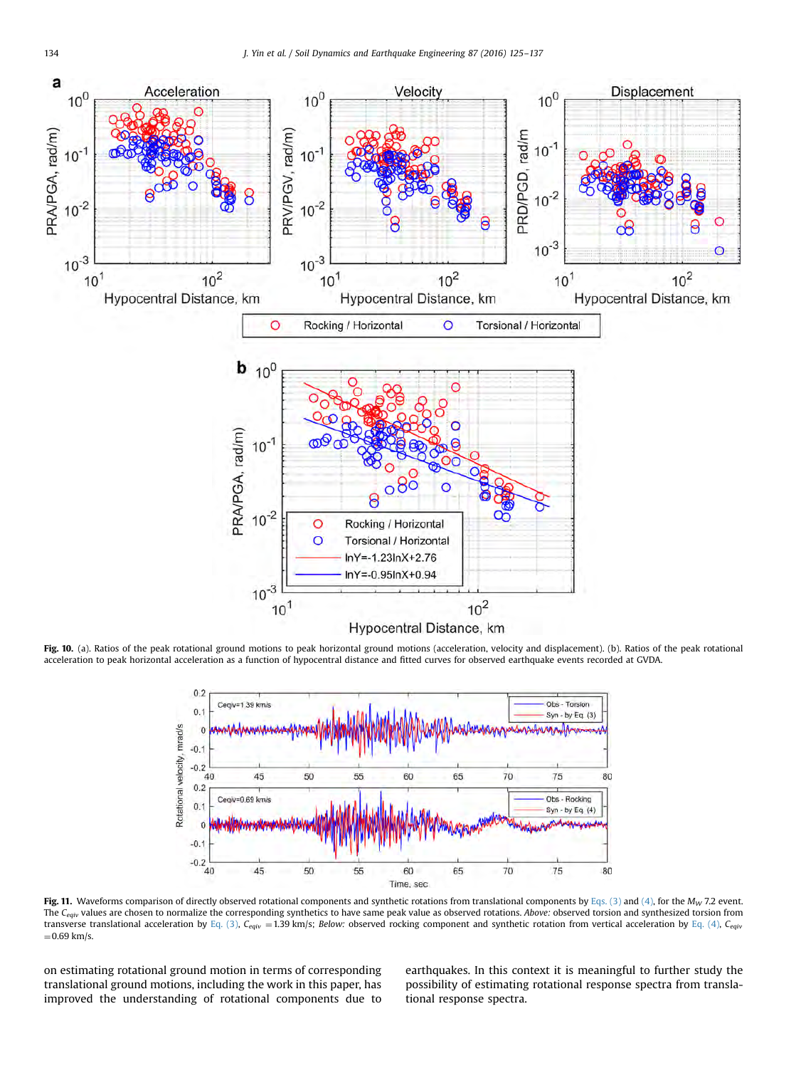<span id="page-9-0"></span>

Fig. 10. (a). Ratios of the peak rotational ground motions to peak horizontal ground motions (acceleration, velocity and displacement). (b). Ratios of the peak rotational acceleration to peak horizontal acceleration as a function of hypocentral distance and fitted curves for observed earthquake events recorded at GVDA.



Fig. 11. Waveforms comparison of directly observed rotational components and synthetic rotations from translational components by [Eqs. \(3\)](#page-6-0) and [\(4\),](#page-6-0) for the  $M_W$  7.2 event. The C<sub>eqiv</sub> values are chosen to normalize the corresponding synthetics to have same peak value as observed rotations. Above: observed torsion and synthesized torsion from transverse translational acceleration by [Eq. \(3\)](#page-6-0), C<sub>eqiv</sub> = 1.39 km/s; Below: observed rocking component and synthetic rotation from vertical acceleration by [Eq. \(4\)](#page-6-0), C<sub>eqiv</sub>  $=0.69$  km/s.

on estimating rotational ground motion in terms of corresponding translational ground motions, including the work in this paper, has improved the understanding of rotational components due to earthquakes. In this context it is meaningful to further study the possibility of estimating rotational response spectra from translational response spectra.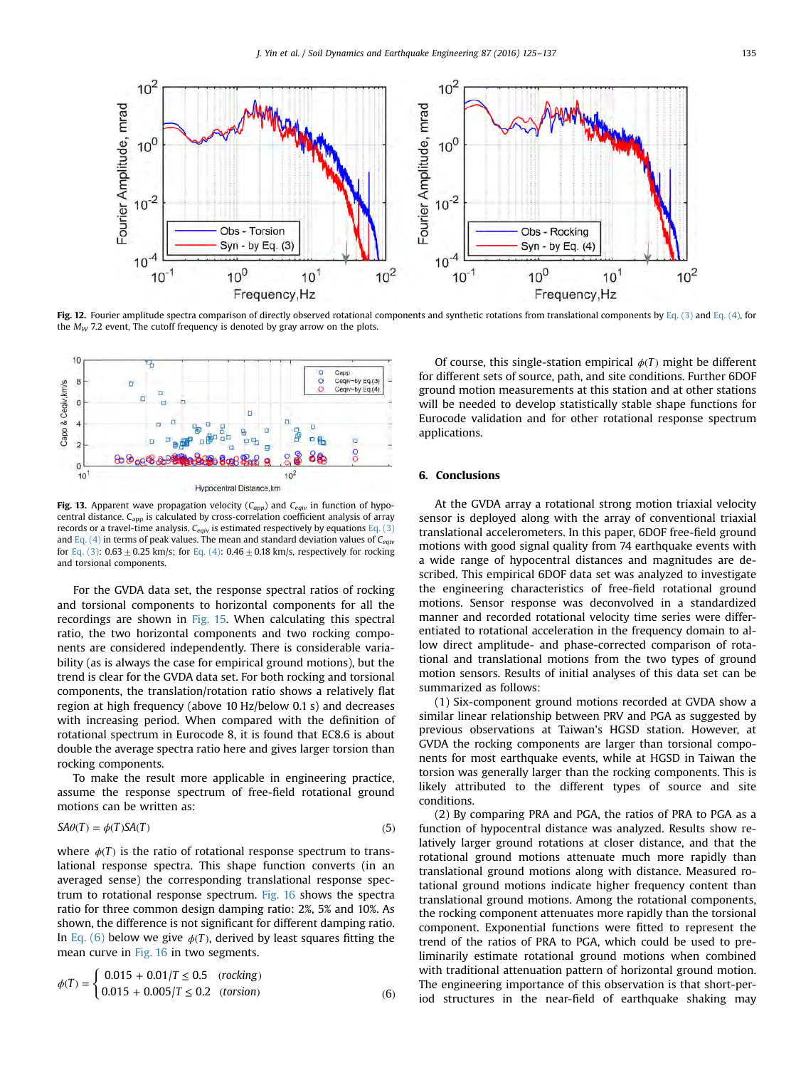<span id="page-10-0"></span>

Fig. 12. Fourier amplitude spectra comparison of directly observed rotational components and synthetic rotations from translational components by [Eq. \(3\)](#page-6-0) and [Eq. \(4\)](#page-6-0), for the  $M_W$  7.2 event, The cutoff frequency is denoted by gray arrow on the plots.



Fig. 13. Apparent wave propagation velocity ( $C_{app}$ ) and  $C_{eaiv}$  in function of hypocentral distance.  $C_{app}$  is calculated by cross-correlation coefficient analysis of array records or a travel-time analysis.  $C_{equiv}$  is estimated respectively by equations [Eq. \(3\)](#page-6-0) and [Eq. \(4\)](#page-6-0) in terms of peak values. The mean and standard deviation values of  $C_{\text{e}q\text{i}y}$ for [Eq. \(3\):](#page-6-0) 0.63  $\pm$  0.25 km/s; for [Eq. \(4\):](#page-6-0) 0.46  $\pm$  0.18 km/s, respectively for rocking and torsional components.

For the GVDA data set, the response spectral ratios of rocking and torsional components to horizontal components for all the recordings are shown in [Fig. 15](#page-11-0). When calculating this spectral ratio, the two horizontal components and two rocking components are considered independently. There is considerable variability (as is always the case for empirical ground motions), but the trend is clear for the GVDA data set. For both rocking and torsional components, the translation/rotation ratio shows a relatively flat region at high frequency (above 10 Hz/below 0.1 s) and decreases with increasing period. When compared with the definition of rotational spectrum in Eurocode 8, it is found that EC8.6 is about double the average spectra ratio here and gives larger torsion than rocking components.

To make the result more applicable in engineering practice, assume the response spectrum of free-field rotational ground motions can be written as:

$$
SA\theta(T) = \phi(T)SA(T) \tag{5}
$$

where  $\phi(T)$  is the ratio of rotational response spectrum to translational response spectra. This shape function converts (in an averaged sense) the corresponding translational response spectrum to rotational response spectrum. [Fig. 16](#page-11-0) shows the spectra ratio for three common design damping ratio: 2%, 5% and 10%. As shown, the difference is not significant for different damping ratio. In Eq. (6) below we give  $\phi(T)$ , derived by least squares fitting the mean curve in [Fig. 16](#page-11-0) in two segments.

$$
\phi(T) = \begin{cases} 0.015 + 0.01/T \le 0.5 & (rocking) \\ 0.015 + 0.005/T \le 0.2 & (torsion) \end{cases} \tag{6}
$$

Of course, this single-station empirical *ϕ*(*T*) might be different for different sets of source, path, and site conditions. Further 6DOF ground motion measurements at this station and at other stations will be needed to develop statistically stable shape functions for Eurocode validation and for other rotational response spectrum applications.

#### 6. Conclusions

At the GVDA array a rotational strong motion triaxial velocity sensor is deployed along with the array of conventional triaxial translational accelerometers. In this paper, 6DOF free-field ground motions with good signal quality from 74 earthquake events with a wide range of hypocentral distances and magnitudes are described. This empirical 6DOF data set was analyzed to investigate the engineering characteristics of free-field rotational ground motions. Sensor response was deconvolved in a standardized manner and recorded rotational velocity time series were differentiated to rotational acceleration in the frequency domain to allow direct amplitude- and phase-corrected comparison of rotational and translational motions from the two types of ground motion sensors. Results of initial analyses of this data set can be summarized as follows:

(1) Six-component ground motions recorded at GVDA show a similar linear relationship between PRV and PGA as suggested by previous observations at Taiwan's HGSD station. However, at GVDA the rocking components are larger than torsional components for most earthquake events, while at HGSD in Taiwan the torsion was generally larger than the rocking components. This is likely attributed to the different types of source and site conditions.

(2) By comparing PRA and PGA, the ratios of PRA to PGA as a function of hypocentral distance was analyzed. Results show relatively larger ground rotations at closer distance, and that the rotational ground motions attenuate much more rapidly than translational ground motions along with distance. Measured rotational ground motions indicate higher frequency content than translational ground motions. Among the rotational components, the rocking component attenuates more rapidly than the torsional component. Exponential functions were fitted to represent the trend of the ratios of PRA to PGA, which could be used to preliminarily estimate rotational ground motions when combined with traditional attenuation pattern of horizontal ground motion. The engineering importance of this observation is that short-period structures in the near-field of earthquake shaking may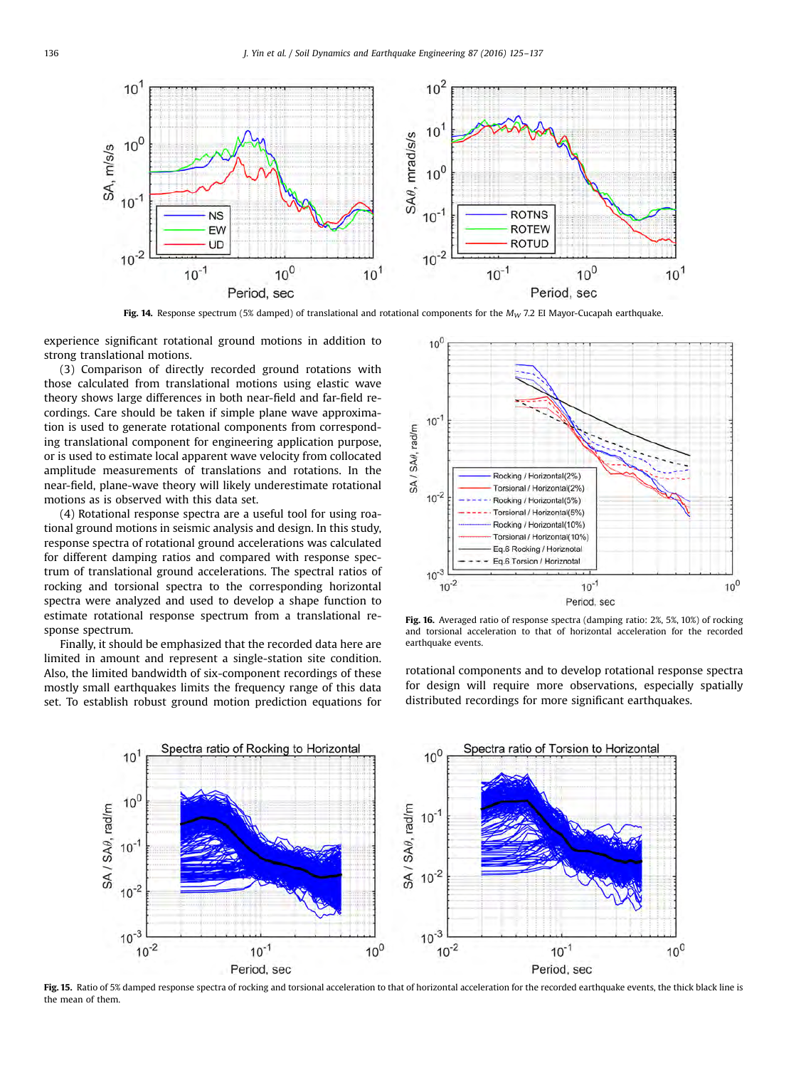<span id="page-11-0"></span>

Fig. 14. Response spectrum (5% damped) of translational and rotational components for the  $M_W$  7.2 EI Mayor-Cucapah earthquake.

experience significant rotational ground motions in addition to strong translational motions.

(3) Comparison of directly recorded ground rotations with those calculated from translational motions using elastic wave theory shows large differences in both near-field and far-field recordings. Care should be taken if simple plane wave approximation is used to generate rotational components from corresponding translational component for engineering application purpose, or is used to estimate local apparent wave velocity from collocated amplitude measurements of translations and rotations. In the near-field, plane-wave theory will likely underestimate rotational motions as is observed with this data set.

(4) Rotational response spectra are a useful tool for using roational ground motions in seismic analysis and design. In this study, response spectra of rotational ground accelerations was calculated for different damping ratios and compared with response spectrum of translational ground accelerations. The spectral ratios of rocking and torsional spectra to the corresponding horizontal spectra were analyzed and used to develop a shape function to estimate rotational response spectrum from a translational response spectrum.

Finally, it should be emphasized that the recorded data here are limited in amount and represent a single-station site condition. Also, the limited bandwidth of six-component recordings of these mostly small earthquakes limits the frequency range of this data set. To establish robust ground motion prediction equations for



Fig. 16. Averaged ratio of response spectra (damping ratio: 2%, 5%, 10%) of rocking and torsional acceleration to that of horizontal acceleration for the recorded earthquake events.

rotational components and to develop rotational response spectra for design will require more observations, especially spatially distributed recordings for more significant earthquakes.



Fig. 15. Ratio of 5% damped response spectra of rocking and torsional acceleration to that of horizontal acceleration for the recorded earthquake events, the thick black line is the mean of them.